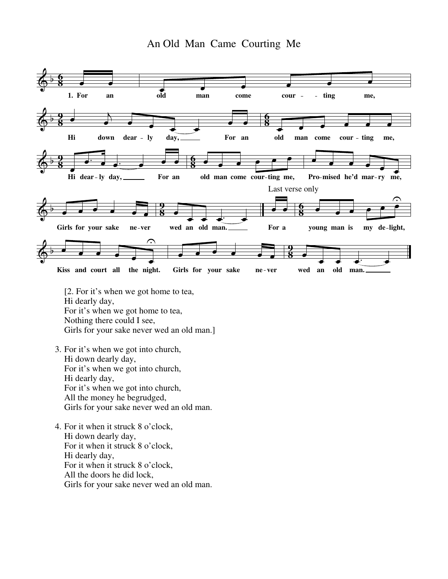

[2. For it's when we got home to tea, Hi dearly day, For it's when we got home to tea, Nothing there could I see, Girls for your sake never wed an old man.]

- 3. For it's when we got into church, Hi down dearly day, For it's when we got into church, Hi dearly day, For it's when we got into church, All the money he begrudged, Girls for your sake never wed an old man.
- 4. For it when it struck 8 o'clock, Hi down dearly day, For it when it struck 8 o'clock, Hi dearly day, For it when it struck 8 o'clock, All the doors he did lock, Girls for your sake never wed an old man.